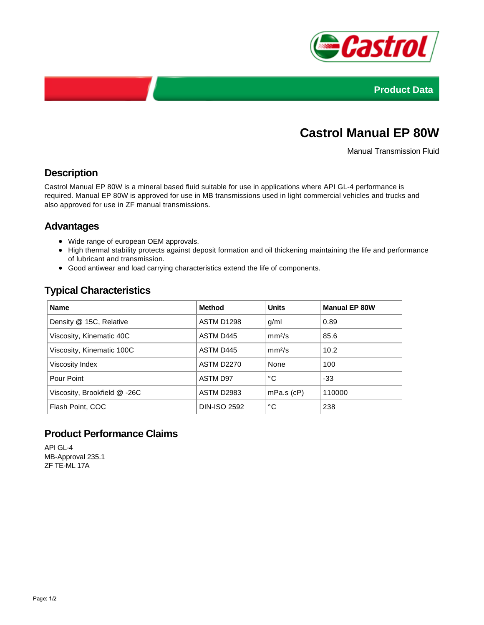



# **Castrol Manual EP 80W**

Manual Transmission Fluid

## **Description**

Castrol Manual EP 80W is a mineral based fluid suitable for use in applications where API GL-4 performance is required. Manual EP 80W is approved for use in MB transmissions used in light commercial vehicles and trucks and also approved for use in ZF manual transmissions.

### **Advantages**

- Wide range of european OEM approvals.
- High thermal stability protects against deposit formation and oil thickening maintaining the life and performance of lubricant and transmission.
- Good antiwear and load carrying characteristics extend the life of components.

# **Typical Characteristics**

| <b>Name</b>                  | <b>Method</b>       | <b>Units</b>       | <b>Manual EP 80W</b> |
|------------------------------|---------------------|--------------------|----------------------|
| Density @ 15C, Relative      | ASTM D1298          | g/ml               | 0.89                 |
| Viscosity, Kinematic 40C     | ASTM D445           | mm <sup>2</sup> /s | 85.6                 |
| Viscosity, Kinematic 100C    | ASTM D445           | mm <sup>2</sup> /s | 10.2                 |
| Viscosity Index              | <b>ASTM D2270</b>   | None               | 100                  |
| Pour Point                   | ASTM D97            | °C                 | $-33$                |
| Viscosity, Brookfield @ -26C | <b>ASTM D2983</b>   | $mPa.s$ ( $cP$ )   | 110000               |
| Flash Point, COC             | <b>DIN-ISO 2592</b> | °C                 | 238                  |

### **Product Performance Claims**

API GL-4 MB-Approval 235.1 ZF TE-ML 17A